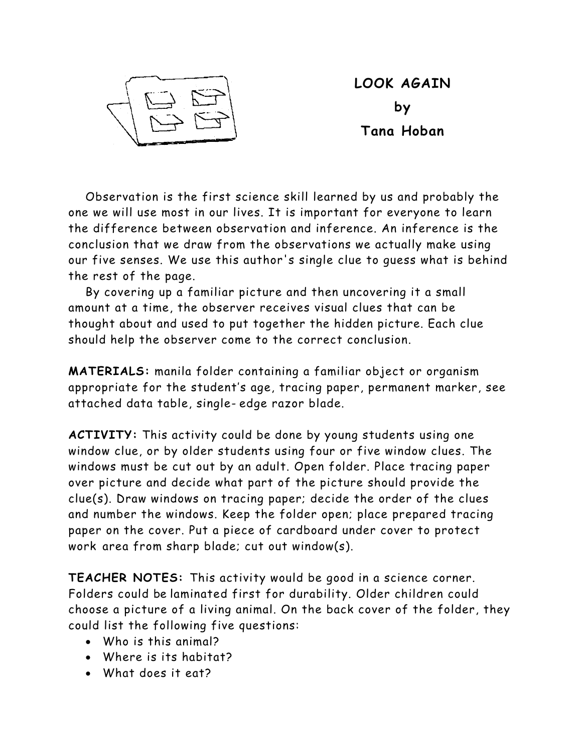

**LOOK AGAIN by Tana Hoban**

Observation is the first science skill learned by us and probably the one we will use most in our lives. It is important for everyone to learn the difference between observation and inference. An inference is the conclusion that we draw from the observations we actually make using our five senses. We use this author's single clue to guess what is behind the rest of the page.

By covering up a familiar picture and then uncovering it a small amount at a time, the observer receives visual clues that can be thought about and used to put together the hidden picture. Each clue should help the observer come to the correct conclusion.

**MATERIALS:** manila folder containing a familiar object or organism appropriate for the student's age, tracing paper, permanent marker, see attached data table, single- edge razor blade.

**ACTIVITY:** This activity could be done by young students using one window clue, or by older students using four or five window clues. The windows must be cut out by an adult. Open folder. Place tracing paper over picture and decide what part of the picture should provide the clue(s). Draw windows on tracing paper; decide the order of the clues and number the windows. Keep the folder open; place prepared tracing paper on the cover. Put a piece of cardboard under cover to protect work area from sharp blade; cut out window(s).

**TEACHER NOTES:** This activity would be good in a science corner. Folders could be laminated first for durability. Older children could choose a picture of a living animal. On the back cover of the folder, they could list the following five questions:

- Who is this animal?
- Where is its habitat?
- What does it eat?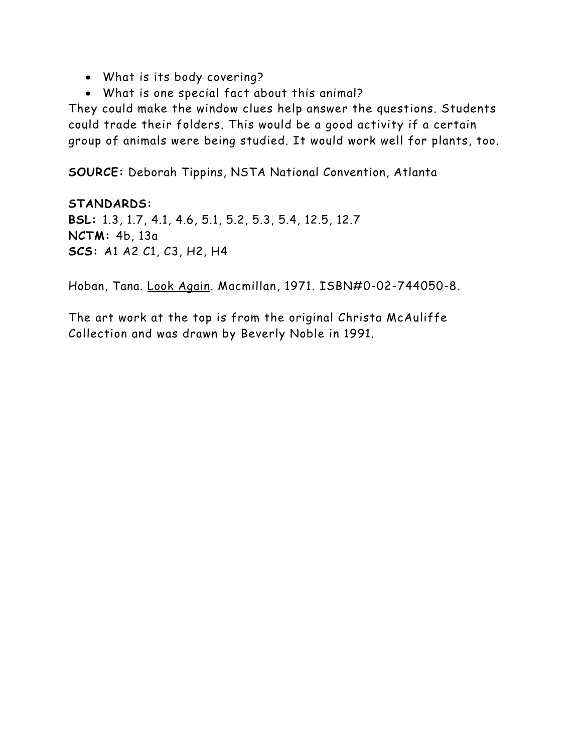- What is its body covering?
- What is one special fact about this animal?

They could make the window clues help answer the questions. Students could trade their folders. This would be a good activity if a certain group of animals were being studied. It would work well for plants, too.

**SOURCE:** Deborah Tippins, NSTA National Convention, Atlanta

**STANDARDS: BSL:** 1.3, 1.7, 4.1, 4.6, 5.1, 5.2, 5.3, 5.4, 12.5, 12.7 **NCTM:** 4b, 13a **SCS:** A1 A2 C1, C3, H2, H4

Hoban, Tana. Look Again. Macmillan, 1971. ISBN#0-02-744050-8.

The art work at the top is from the original Christa McAuliffe Collection and was drawn by Beverly Noble in 1991.